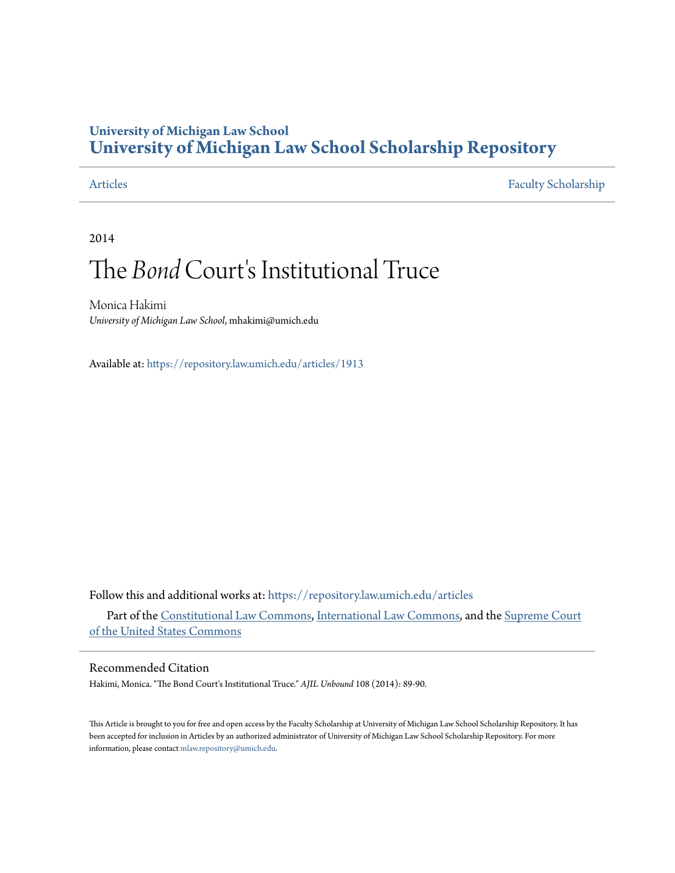## **University of Michigan Law School [University of Michigan Law School Scholarship Repository](https://repository.law.umich.edu?utm_source=repository.law.umich.edu%2Farticles%2F1913&utm_medium=PDF&utm_campaign=PDFCoverPages)**

[Articles](https://repository.law.umich.edu/articles?utm_source=repository.law.umich.edu%2Farticles%2F1913&utm_medium=PDF&utm_campaign=PDFCoverPages) [Faculty Scholarship](https://repository.law.umich.edu/faculty_scholarship?utm_source=repository.law.umich.edu%2Farticles%2F1913&utm_medium=PDF&utm_campaign=PDFCoverPages)

2014

# The *Bond* Court's Institutional Truce

Monica Hakimi *University of Michigan Law School*, mhakimi@umich.edu

Available at: <https://repository.law.umich.edu/articles/1913>

Follow this and additional works at: [https://repository.law.umich.edu/articles](https://repository.law.umich.edu/articles?utm_source=repository.law.umich.edu%2Farticles%2F1913&utm_medium=PDF&utm_campaign=PDFCoverPages)

Part of the [Constitutional Law Commons,](http://network.bepress.com/hgg/discipline/589?utm_source=repository.law.umich.edu%2Farticles%2F1913&utm_medium=PDF&utm_campaign=PDFCoverPages) [International Law Commons](http://network.bepress.com/hgg/discipline/609?utm_source=repository.law.umich.edu%2Farticles%2F1913&utm_medium=PDF&utm_campaign=PDFCoverPages), and the [Supreme Court](http://network.bepress.com/hgg/discipline/1350?utm_source=repository.law.umich.edu%2Farticles%2F1913&utm_medium=PDF&utm_campaign=PDFCoverPages) [of the United States Commons](http://network.bepress.com/hgg/discipline/1350?utm_source=repository.law.umich.edu%2Farticles%2F1913&utm_medium=PDF&utm_campaign=PDFCoverPages)

#### Recommended Citation

Hakimi, Monica. "The Bond Court's Institutional Truce." *AJIL Unbound* 108 (2014): 89-90.

This Article is brought to you for free and open access by the Faculty Scholarship at University of Michigan Law School Scholarship Repository. It has been accepted for inclusion in Articles by an authorized administrator of University of Michigan Law School Scholarship Repository. For more information, please contact [mlaw.repository@umich.edu.](mailto:mlaw.repository@umich.edu)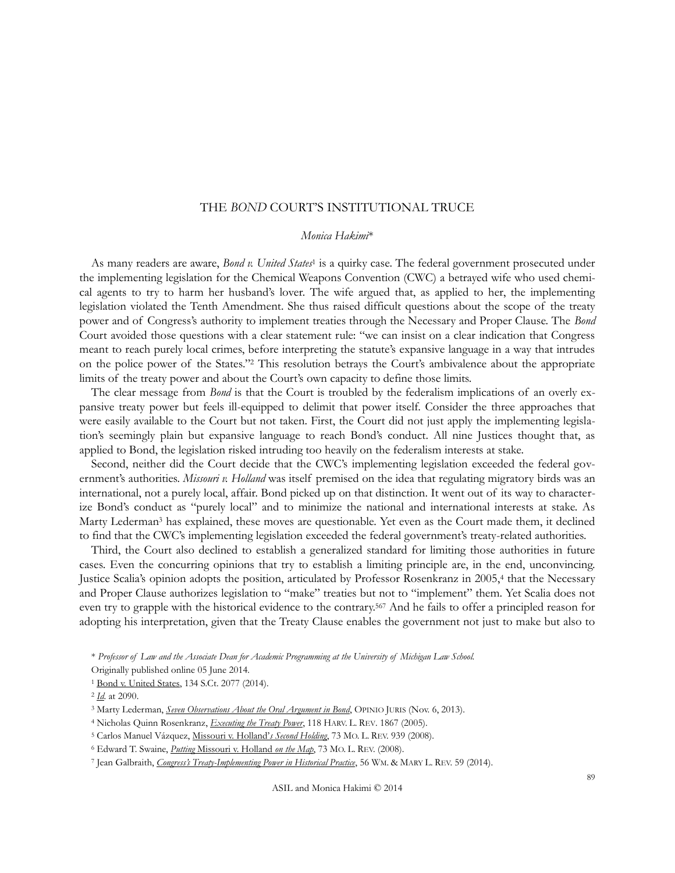### THE *BOND* COURT'S INSTITUTIONAL TRUCE

#### *Monica Hakimi*\*

As many readers are aware, *Bond v. United States<sup>1</sup>* is a quirky case. The federal government prosecuted under the implementing legislation for the Chemical Weapons Convention (CWC) a betrayed wife who used chemical agents to try to harm her husband's lover. The wife argued that, as applied to her, the implementing legislation violated the Tenth Amendment. She thus raised difficult questions about the scope of the treaty power and of Congress's authority to implement treaties through the Necessary and Proper Clause. The *Bond* Court avoided those questions with a clear statement rule: "we can insist on a clear indication that Congress meant to reach purely local crimes, before interpreting the statute's expansive language in a way that intrudes on the police power of the States." <sup>2</sup> This resolution betrays the Court's ambivalence about the appropriate limits of the treaty power and about the Court's own capacity to define those limits.

The clear message from *Bond* is that the Court is troubled by the federalism implications of an overly expansive treaty power but feels ill-equipped to delimit that power itself. Consider the three approaches that were easily available to the Court but not taken. First, the Court did not just apply the implementing legislation's seemingly plain but expansive language to reach Bond's conduct. All nine Justices thought that, as applied to Bond, the legislation risked intruding too heavily on the federalism interests at stake.

Second, neither did the Court decide that the CWC's implementing legislation exceeded the federal government's authorities. *Missouri v. Holland* was itself premised on the idea that regulating migratory birds was an international, not a purely local, affair. Bond picked up on that distinction. It went out of its way to characterize Bond's conduct as "purely local" and to minimize the national and international interests at stake. As Marty Lederman<sup>3</sup> has explained, these moves are questionable. Yet even as the Court made them, it declined to find that the CWC's implementing legislation exceeded the federal government's treaty-related authorities.

Third, the Court also declined to establish a generalized standard for limiting those authorities in future cases. Even the concurring opinions that try to establish a limiting principle are, in the end, unconvincing. Justice Scalia's opinion adopts the position, articulated by Professor Rosenkranz in 2005,4 that the Necessary and Proper Clause authorizes legislation to "make" treaties but not to "implement" them. Yet Scalia does not even try to grapple with the historical evidence to the contrary.<sup>567</sup> And he fails to offer a principled reason for adopting his interpretation, given that the Treaty Clause enables the government not just to make but also to

<sup>\*</sup> *Professor of Law and the Associate Dean for Academic Programming at the University of Michigan Law School.*

Originally published online 05 June 2014.

<sup>1</sup> [Bond v. United States,](https://scholar.google.com/scholar_case?case=14369486041709640908&hl=en&as_sdt=6&as_vis=1&oi=scholarr) 134 S.Ct. 2077 (2014).

<sup>2</sup> *[Id](https://scholar.google.com/scholar_case?case=14369486041709640908&hl=en&as_sdt=6&as_vis=1&oi=scholarr)*. at 2090.

<sup>&</sup>lt;sup>3</sup> Marty Lederman, *[Seven Observations About the Oral Argument in Bond](http://opiniojuris.org/2013/11/06/seven-observations-oral-argument-bond/)*, OPINIO JURIS (Nov. 6, 2013).

<sup>4</sup> Nicholas Quinn Rosenkranz, *[Executing the Treaty Power](http://papers.ssrn.com/sol3/papers.cfm?abstract_id=747724)*, 118 HARV. L. REV. 1867 (2005).

<sup>5</sup> Carlos Manuel Vázquez, [Missouri v. Holland'](http://scholarship.law.georgetown.edu/facpub/389/)*s Second Holding*, 73 MO. L. REV. 939 (2008).

<sup>6</sup> Edward T. Swaine, *Putting* [Missouri v. Holland](http://scholarship.law.gwu.edu/faculty_publications/13/) *on the Map*, 73 MO. L. REV. (2008).

<sup>7</sup> Jean Galbraith, *Congress's Treaty[-Implementing Power in Historical Practice](http://papers.ssrn.com/sol3/papers.cfm?abstract_id=2275355)*, 56 WM. & MARY L. REV. 59 (2014).